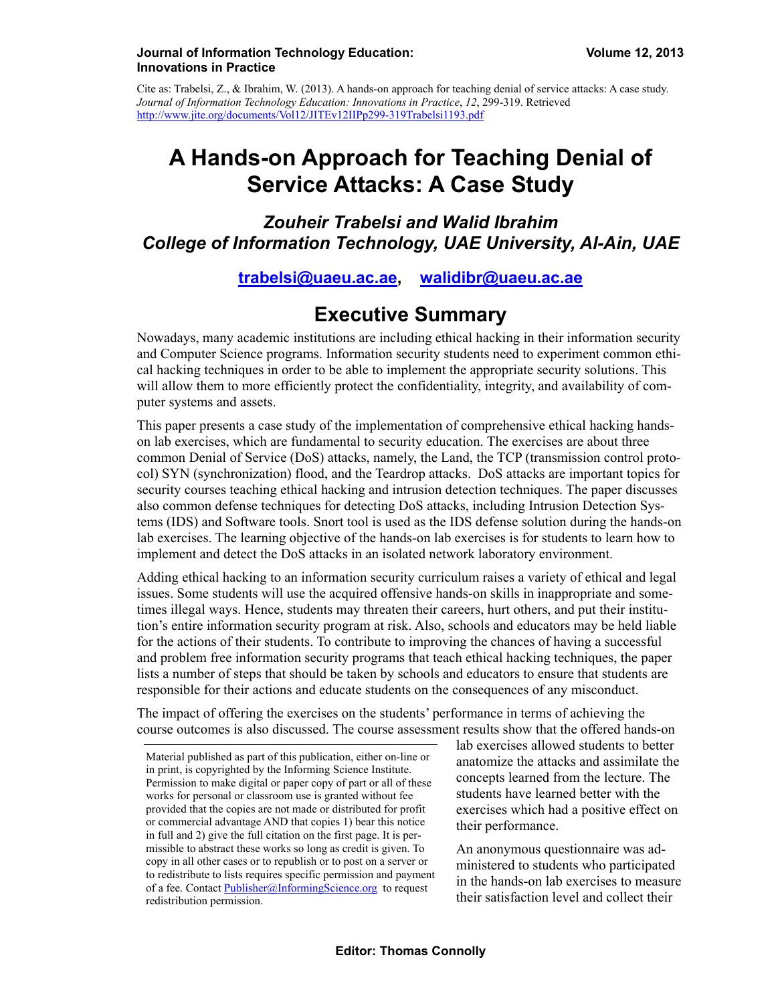#### **Journal of Information Technology Education: Volume 12, 2013 Innovations in Practice**

Cite as: Trabelsi, Z., & Ibrahim, W. (2013). A hands-on approach for teaching denial of service attacks: A case study. *Journal of Information Technology Education: Innovations in Practice*, *12*, 299-319. Retrieved http://www.jite.org/documents/Vol12/JITEv12IIPp299-319Trabelsi1193.pdf

# **A Hands-on Approach for Teaching Denial of Service Attacks: A Case Study**

### *Zouheir Trabelsi and Walid Ibrahim College of Information Technology, UAE University, Al-Ain, UAE*

### **[trabelsi@uaeu.ac.ae,](mailto:trabelsi@uaeu.ac.ae) [walidibr@uaeu.ac.ae](mailto:walidibr@uaeu.ac.ae)**

## **Executive Summary**

Nowadays, many academic institutions are including ethical hacking in their information security and Computer Science programs. Information security students need to experiment common ethical hacking techniques in order to be able to implement the appropriate security solutions. This will allow them to more efficiently protect the confidentiality, integrity, and availability of computer systems and assets.

This paper presents a case study of the implementation of comprehensive ethical hacking handson lab exercises, which are fundamental to security education. The exercises are about three common Denial of Service (DoS) attacks, namely, the Land, the TCP (transmission control protocol) SYN (synchronization) flood, and the Teardrop attacks. DoS attacks are important topics for security courses teaching ethical hacking and intrusion detection techniques. The paper discusses also common defense techniques for detecting DoS attacks, including Intrusion Detection Systems (IDS) and Software tools. Snort tool is used as the IDS defense solution during the hands-on lab exercises. The learning objective of the hands-on lab exercises is for students to learn how to implement and detect the DoS attacks in an isolated network laboratory environment.

Adding ethical hacking to an information security curriculum raises a variety of ethical and legal issues. Some students will use the acquired offensive hands-on skills in inappropriate and sometimes illegal ways. Hence, students may threaten their careers, hurt others, and put their institution's entire information security program at risk. Also, schools and educators may be held liable for the actions of their students. To contribute to improving the chances of having a successful and problem free information security programs that teach ethical hacking techniques, the paper lists a number of steps that should be taken by schools and educators to ensure that students are responsible for their actions and educate students on the consequences of any misconduct.

The impact of offering the exercises on the students' performance in terms of achieving the course outcomes is also discussed. The course assessment results show that the offered hands-on

lab exercises allowed students to better anatomize the attacks and assimilate the concepts learned from the lecture. The students have learned better with the exercises which had a positive effect on their performance.

An anonymous questionnaire was administered to students who participated in the hands-on lab exercises to measure their satisfaction level and collect their

Material published as part of this publication, either on-line or in print, is copyrighted by the Informing Science Institute. Permission to make digital or paper copy of part or all of these works for personal or classroom use is granted without fee provided that the copies are not made or distributed for profit or commercial advantage AND that copies 1) bear this notice in full and 2) give the full citation on the first page. It is permissible to abstract these works so long as credit is given. To copy in all other cases or to republish or to post on a server or to redistribute to lists requires specific permission and payment of a fee. Contact [Publisher@InformingScience.org](mailto:Publisher@InformingScience.org) to request redistribution permission.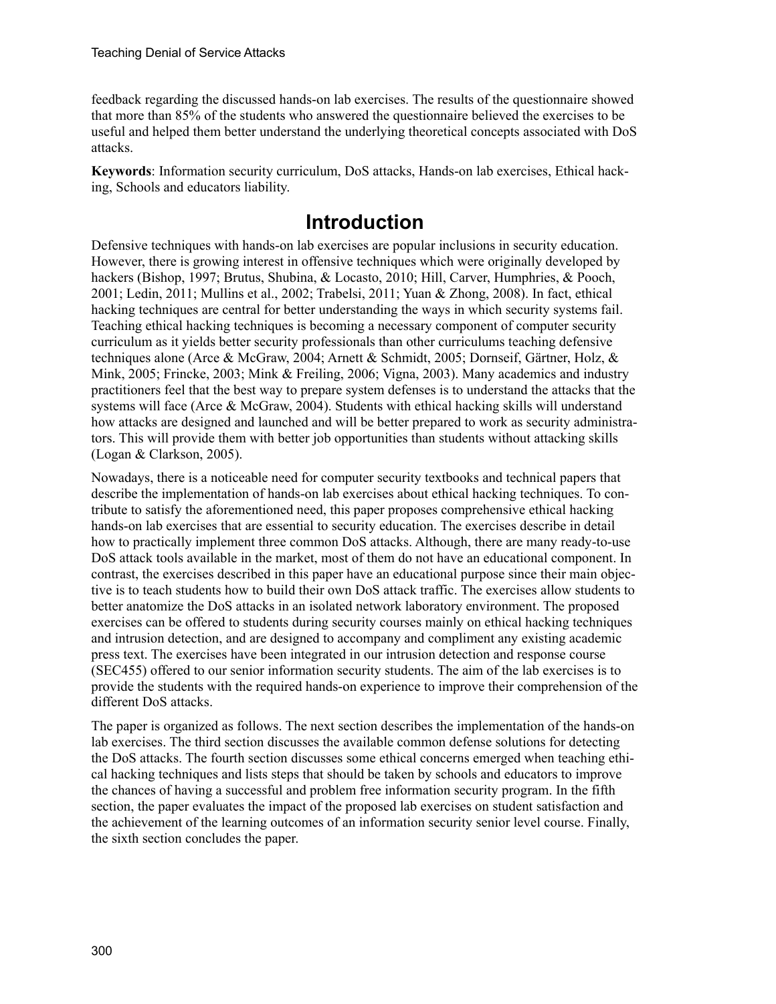feedback regarding the discussed hands-on lab exercises. The results of the questionnaire showed that more than 85% of the students who answered the questionnaire believed the exercises to be useful and helped them better understand the underlying theoretical concepts associated with DoS attacks.

**Keywords**: Information security curriculum, DoS attacks, Hands-on lab exercises, Ethical hacking, Schools and educators liability.

# **Introduction**

Defensive techniques with hands-on lab exercises are popular inclusions in security education. However, there is growing interest in offensive techniques which were originally developed by hackers (Bishop, 1997; Brutus, Shubina, & Locasto, 2010; Hill, Carver, Humphries, & Pooch, 2001; Ledin, 2011; Mullins et al., 2002; Trabelsi, 2011; Yuan & Zhong, 2008). In fact, ethical hacking techniques are central for better understanding the ways in which security systems fail. Teaching ethical hacking techniques is becoming a necessary component of computer security curriculum as it yields better security professionals than other curriculums teaching defensive techniques alone (Arce & McGraw, 2004; Arnett & Schmidt, 2005; Dornseif, Gärtner, Holz, & Mink, 2005; Frincke, 2003; Mink & Freiling, 2006; Vigna, 2003). Many academics and industry practitioners feel that the best way to prepare system defenses is to understand the attacks that the systems will face (Arce & McGraw, 2004). Students with ethical hacking skills will understand how attacks are designed and launched and will be better prepared to work as security administrators. This will provide them with better job opportunities than students without attacking skills (Logan & Clarkson, 2005).

Nowadays, there is a noticeable need for computer security textbooks and technical papers that describe the implementation of hands-on lab exercises about ethical hacking techniques. To contribute to satisfy the aforementioned need, this paper proposes comprehensive ethical hacking hands-on lab exercises that are essential to security education. The exercises describe in detail how to practically implement three common DoS attacks. Although, there are many ready-to-use DoS attack tools available in the market, most of them do not have an educational component. In contrast, the exercises described in this paper have an educational purpose since their main objective is to teach students how to build their own DoS attack traffic. The exercises allow students to better anatomize the DoS attacks in an isolated network laboratory environment. The proposed exercises can be offered to students during security courses mainly on ethical hacking techniques and intrusion detection, and are designed to accompany and compliment any existing academic press text. The exercises have been integrated in our intrusion detection and response course (SEC455) offered to our senior information security students. The aim of the lab exercises is to provide the students with the required hands-on experience to improve their comprehension of the different DoS attacks.

The paper is organized as follows. The next section describes the implementation of the hands-on lab exercises. The third section discusses the available common defense solutions for detecting the DoS attacks. The fourth section discusses some ethical concerns emerged when teaching ethical hacking techniques and lists steps that should be taken by schools and educators to improve the chances of having a successful and problem free information security program. In the fifth section, the paper evaluates the impact of the proposed lab exercises on student satisfaction and the achievement of the learning outcomes of an information security senior level course. Finally, the sixth section concludes the paper.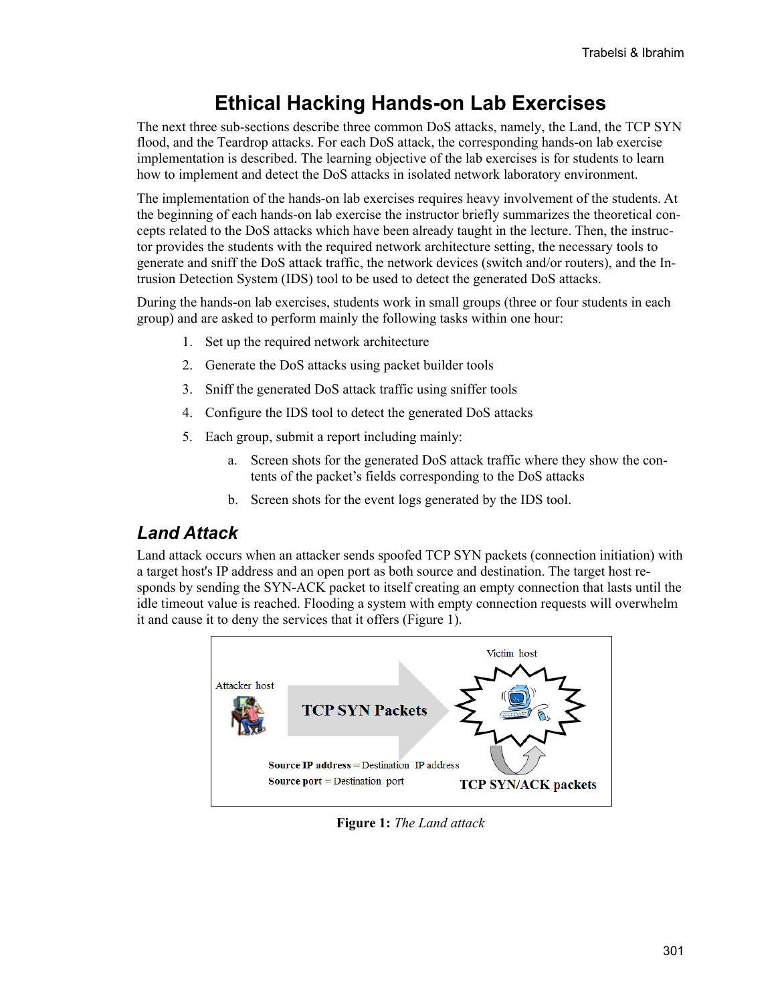# **Ethical Hacking Hands-on Lab Exercises**

The next three sub-sections describe three common DoS attacks, namely, the Land, the TCP SYN flood, and the Teardrop attacks. For each DoS attack, the corresponding hands-on lab exercise implementation is described. The learning objective of the lab exercises is for students to learn how to implement and detect the DoS attacks in isolated network laboratory environment.

The implementation of the hands-on lab exercises requires heavy involvement of the students. At the beginning of each hands-on lab exercise the instructor briefly summarizes the theoretical concepts related to the DoS attacks which have been already taught in the lecture. Then, the instructor provides the students with the required network architecture setting, the necessary tools to generate and sniff the DoS attack traffic, the network devices (switch and/or routers), and the Intrusion Detection System (IDS) tool to be used to detect the generated DoS attacks.

During the hands-on lab exercises, students work in small groups (three or four students in each group) and are asked to perform mainly the following tasks within one hour:

- 1. Set up the required network architecture
- 2. Generate the DoS attacks using packet builder tools
- 3. Sniff the generated DoS attack traffic using sniffer tools
- 4. Configure the IDS tool to detect the generated DoS attacks
- 5. Each group, submit a report including mainly:
	- a. Screen shots for the generated DoS attack traffic where they show the contents of the packet's fields corresponding to the DoS attacks
	- b. Screen shots for the event logs generated by the IDS tool.

### *Land Attack*

Land attack occurs when an attacker sends spoofed TCP SYN packets (connection initiation) with a target host's IP address and an open port as both source and destination. The target host responds by sending the SYN-ACK packet to itself creating an empty connection that lasts until the idle timeout value is reached. Flooding a system with empty connection requests will overwhelm it and cause it to deny the services that it offers (Figure 1).



**Figure 1:** *The Land attack*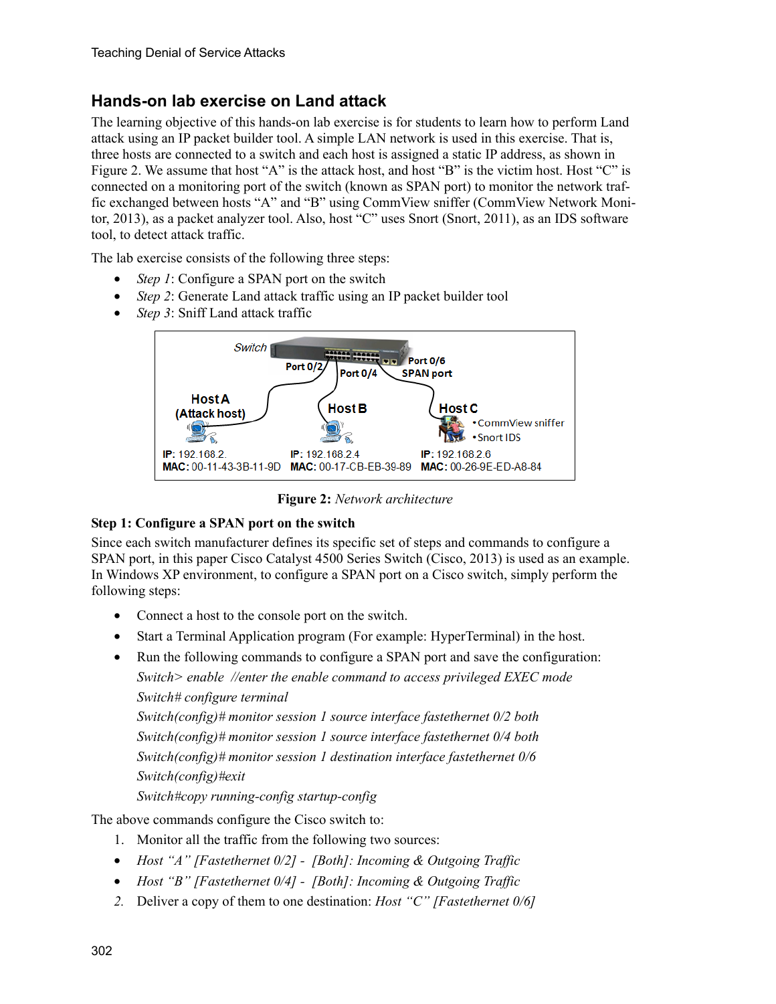### **Hands-on lab exercise on Land attack**

The learning objective of this hands-on lab exercise is for students to learn how to perform Land attack using an IP packet builder tool. A simple LAN network is used in this exercise. That is, three hosts are connected to a switch and each host is assigned a static IP address, as shown in Figure 2. We assume that host "A" is the attack host, and host "B" is the victim host. Host "C" is connected on a monitoring port of the switch (known as SPAN port) to monitor the network traffic exchanged between hosts "A" and "B" using CommView sniffer (CommView Network Monitor, 2013), as a packet analyzer tool. Also, host "C" uses Snort (Snort, 2011), as an IDS software tool, to detect attack traffic.

The lab exercise consists of the following three steps:

- Step 1: Configure a SPAN port on the switch
- *Step 2*: Generate Land attack traffic using an IP packet builder tool
- *Step 3*: Sniff Land attack traffic



**Figure 2:** *Network architecture*

#### **Step 1: Configure a SPAN port on the switch**

Since each switch manufacturer defines its specific set of steps and commands to configure a SPAN port, in this paper Cisco Catalyst 4500 Series Switch (Cisco, 2013) is used as an example. In Windows XP environment, to configure a SPAN port on a Cisco switch, simply perform the following steps:

- Connect a host to the console port on the switch.
- Start a Terminal Application program (For example: HyperTerminal) in the host.
- Run the following commands to configure a SPAN port and save the configuration:

*Switch> enable //enter the enable command to access privileged EXEC mode Switch# configure terminal* 

*Switch(config)# monitor session 1 source interface fastethernet 0/2 both Switch(config)# monitor session 1 source interface fastethernet 0/4 both Switch(config)# monitor session 1 destination interface fastethernet 0/6 Switch(config)#exit* 

*Switch#copy running-config startup-config* 

The above commands configure the Cisco switch to:

- 1. Monitor all the traffic from the following two sources:
- *Host "A" [Fastethernet 0/2] [Both]: Incoming & Outgoing Traffic*
- *Host "B" [Fastethernet 0/4] [Both]: Incoming & Outgoing Traffic*
- *2.* Deliver a copy of them to one destination: *Host "C" [Fastethernet 0/6]*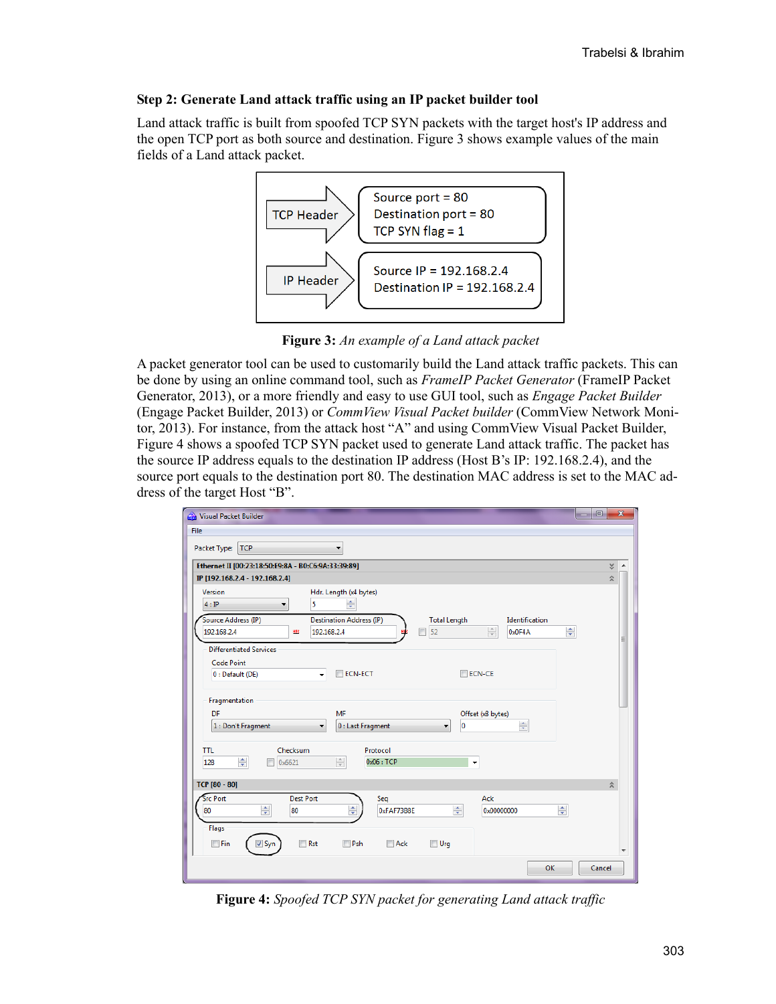#### **Step 2: Generate Land attack traffic using an IP packet builder tool**

Land attack traffic is built from spoofed TCP SYN packets with the target host's IP address and the open TCP port as both source and destination. Figure 3 shows example values of the main fields of a Land attack packet.



**Figure 3:** *An example of a Land attack packet*

A packet generator tool can be used to customarily build the Land attack traffic packets. This can be done by using an online command tool, such as *FrameIP Packet Generator* (FrameIP Packet Generator, 2013), or a more friendly and easy to use GUI tool, such as *Engage Packet Builder* (Engage Packet Builder, 2013) or *CommView Visual Packet builder* (CommView Network Monitor, 2013). For instance, from the attack host "A" and using CommView Visual Packet Builder, Figure 4 shows a spoofed TCP SYN packet used to generate Land attack traffic. The packet has the source IP address equals to the destination IP address (Host B's IP: 192.168.2.4), and the source port equals to the destination port 80. The destination MAC address is set to the MAC address of the target Host "B".

| $\Box$<br>Visual Packet Builder<br>$\sim$                                                                                                | $\overline{\mathbf{x}}$ |
|------------------------------------------------------------------------------------------------------------------------------------------|-------------------------|
| File                                                                                                                                     |                         |
| Packet Type:<br><b>TCP</b>                                                                                                               |                         |
| Ethernet II [00:23:18:50:E9:8A - B0:C6:9A:33:39:89]                                                                                      | ×.<br>۸                 |
| IP [192.168.2.4 - 192.168.2.4]                                                                                                           | $\hat{\mathbf{x}}$      |
| Hdr. Length (x4 bytes)<br>Version<br>$\div$<br>4:IP<br>5                                                                                 |                         |
| Source Address (IP)<br><b>Destination Address (IP)</b><br><b>Total Length</b><br>Identification                                          |                         |
| $\frac{\mathbb{A}}{\mathbb{Y}}$<br>$\frac{\blacktriangle}{\blacktriangledown}$<br>52<br>192.168.2.4<br>192.168.2.4<br>0x0F4A<br>HER<br>г | Ξ                       |
| <b>Differentiated Services</b>                                                                                                           |                         |
| <b>Code Point</b>                                                                                                                        |                         |
| <b>ECN-ECT</b><br>$\Box$ ECN-CE<br>0 : Default (DE)<br>$\overline{\phantom{a}}$                                                          |                         |
|                                                                                                                                          |                         |
| Fragmentation                                                                                                                            |                         |
| DF<br><b>MF</b><br>Offset (x8 bytes)                                                                                                     |                         |
| $\frac{1}{x}$<br>$\mathbf 0$<br>1 : Don't Fragment<br>0 : Last Fragment<br>▼<br>۰                                                        |                         |
| Checksum<br><b>TTL</b><br>Protocol                                                                                                       |                         |
| $\frac{1}{\tau}$<br>$\frac{\Delta}{\Psi}$<br>0x06:TCP<br>128<br>0x6621                                                                   |                         |
| TCP [80 - 80]                                                                                                                            | 숫                       |
| <b>Src Port</b><br><b>Dest Port</b><br>Ack<br>Seq                                                                                        |                         |
| ÷<br>$\div$<br>$\div$<br>÷<br>0xFAF73B8E<br>80<br>80<br>0x00000000                                                                       |                         |
| Flags                                                                                                                                    |                         |
|                                                                                                                                          |                         |
| $\Box$ Fin<br>$\Box$ Rst<br>$\Box$ Urg<br>$\sqrt{2}$ Syn<br>$\Box Psh$<br>$\Box$ Ack                                                     |                         |
| OK<br>Cancel                                                                                                                             |                         |

**Figure 4:** *Spoofed TCP SYN packet for generating Land attack traffic*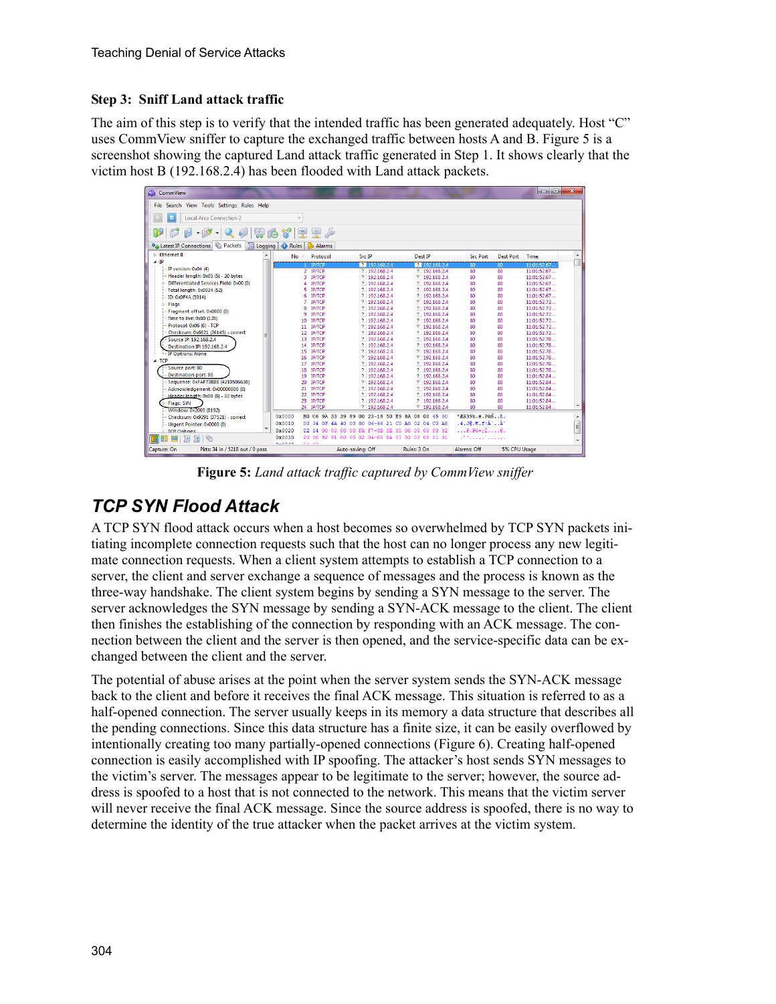#### **Step 3: Sniff Land attack traffic**

The aim of this step is to verify that the intended traffic has been generated adequately. Host "C" uses CommView sniffer to capture the exchanged traffic between hosts A and B. Figure 5 is a screenshot showing the captured Land attack traffic generated in Step 1. It shows clearly that the victim host B (192.168.2.4) has been flooded with Land attack packets.



**Figure 5:** *Land attack traffic captured by CommView sniffer*

## *TCP SYN Flood Attack*

A TCP SYN flood attack occurs when a host becomes so overwhelmed by TCP SYN packets initiating incomplete connection requests such that the host can no longer process any new legitimate connection requests. When a client system attempts to establish a TCP connection to a server, the client and server exchange a sequence of messages and the process is known as the three-way handshake. The client system begins by sending a SYN message to the server. The server acknowledges the SYN message by sending a SYN-ACK message to the client. The client then finishes the establishing of the connection by responding with an ACK message. The connection between the client and the server is then opened, and the service-specific data can be exchanged between the client and the server.

The potential of abuse arises at the point when the server system sends the SYN-ACK message back to the client and before it receives the final ACK message. This situation is referred to as a half-opened connection. The server usually keeps in its memory a data structure that describes all the pending connections. Since this data structure has a finite size, it can be easily overflowed by intentionally creating too many partially-opened connections (Figure 6). Creating half-opened connection is easily accomplished with IP spoofing. The attacker's host sends SYN messages to the victim's server. The messages appear to be legitimate to the server; however, the source address is spoofed to a host that is not connected to the network. This means that the victim server will never receive the final ACK message. Since the source address is spoofed, there is no way to determine the identity of the true attacker when the packet arrives at the victim system.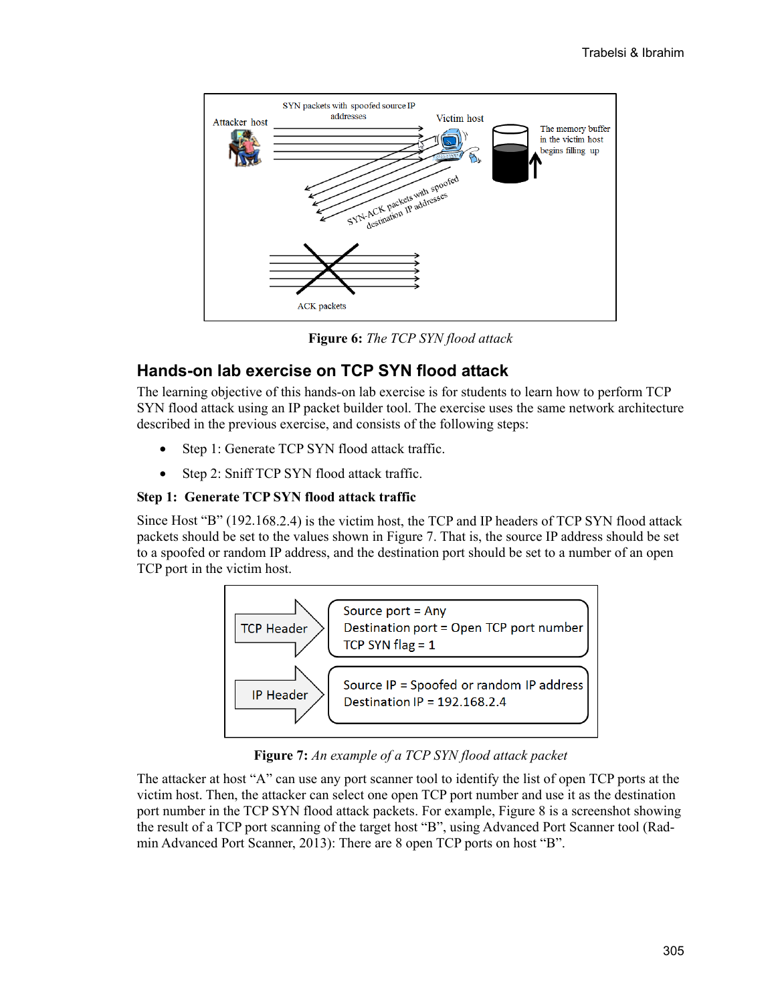

**Figure 6:** *The TCP SYN flood attack*

### **Hands-on lab exercise on TCP SYN flood attack**

The learning objective of this hands-on lab exercise is for students to learn how to perform TCP SYN flood attack using an IP packet builder tool. The exercise uses the same network architecture described in the previous exercise, and consists of the following steps:

- Step 1: Generate TCP SYN flood attack traffic.
- Step 2: Sniff TCP SYN flood attack traffic.

#### **Step 1: Generate TCP SYN flood attack traffic**

Since Host "B" (192.168.2.4) is the victim host, the TCP and IP headers of TCP SYN flood attack packets should be set to the values shown in Figure 7. That is, the source IP address should be set to a spoofed or random IP address, and the destination port should be set to a number of an open TCP port in the victim host.



**Figure 7:** *An example of a TCP SYN flood attack packet*

The attacker at host "A" can use any port scanner tool to identify the list of open TCP ports at the victim host. Then, the attacker can select one open TCP port number and use it as the destination port number in the TCP SYN flood attack packets. For example, Figure 8 is a screenshot showing the result of a TCP port scanning of the target host "B", using Advanced Port Scanner tool (Radmin Advanced Port Scanner, 2013): There are 8 open TCP ports on host "B".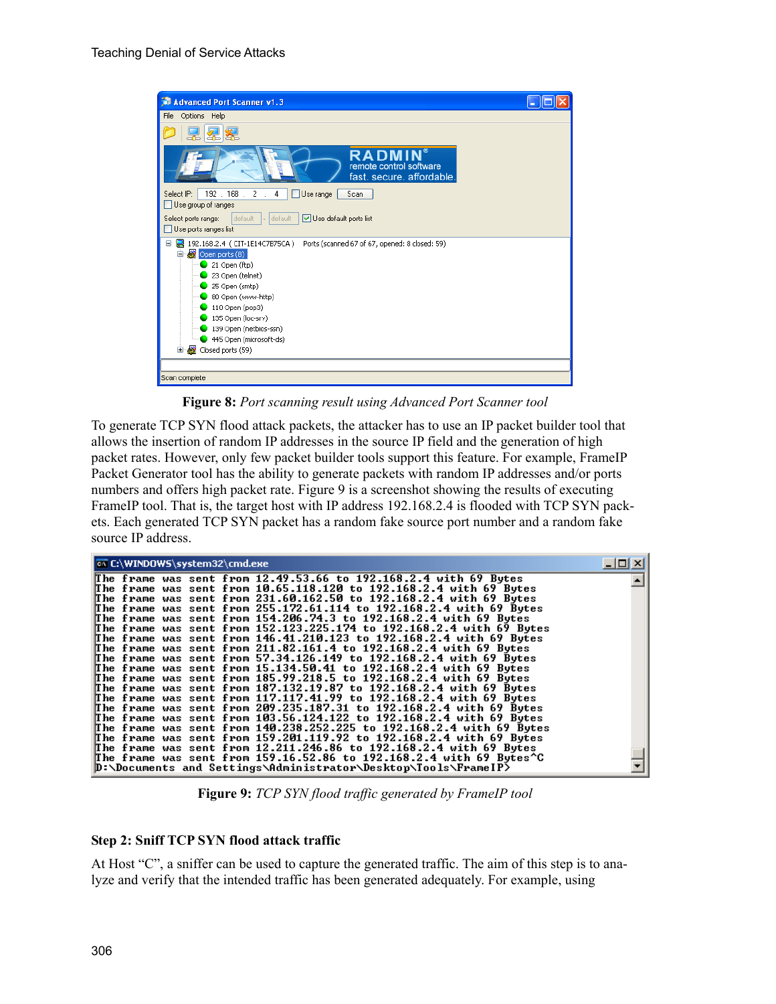

**Figure 8:** *Port scanning result using Advanced Port Scanner tool*

To generate TCP SYN flood attack packets, the attacker has to use an IP packet builder tool that allows the insertion of random IP addresses in the source IP field and the generation of high packet rates. However, only few packet builder tools support this feature. For example, FrameIP Packet Generator tool has the ability to generate packets with random IP addresses and/or ports numbers and offers high packet rate. Figure 9 is a screenshot showing the results of executing FrameIP tool. That is, the target host with IP address 192.168.2.4 is flooded with TCP SYN packets. Each generated TCP SYN packet has a random fake source port number and a random fake source IP address.

| <b>EX C:\WINDOWS\system32\cmd.exe</b> |  |                                                                                                                                             |  |
|---------------------------------------|--|---------------------------------------------------------------------------------------------------------------------------------------------|--|
|                                       |  | The frame was sent from $12.49.53.66$ to $192.168.2.4$ with 69 Bytes                                                                        |  |
|                                       |  | The frame was sent from 10.65.118.120 to 192.168.2.4 with 69 Bytes                                                                          |  |
|                                       |  | The frame was sent from 231.60.162.50 to 192.168.2.4 with 69 Bytes                                                                          |  |
|                                       |  | The frame was sent from 255.172.61.114 to 192.168.2.4 with 69 Bytes                                                                         |  |
|                                       |  | The frame was sent from 154.206.74.3 to 192.168.2.4 with 69 Bytes                                                                           |  |
|                                       |  | The frame was sent from 152.123.225.174 to 192.168.2.4 with 69 Bytes<br>The frame was sent from 146.41.210.123 to 192.168.2.4 with 69 Bytes |  |
|                                       |  |                                                                                                                                             |  |
|                                       |  | The frame was sent from 211.82.161.4 to 192.168.2.4 with 69 Bytes                                                                           |  |
|                                       |  | The frame was sent from 57.34.126.149 to 192.168.2.4 with 69 Bytes                                                                          |  |
|                                       |  | The frame was sent from 15.134.50.41 to 192.168.2.4 with 69 Bytes                                                                           |  |
|                                       |  | The frame was sent from 185.99.218.5 to 192.168.2.4 with 69 Bytes                                                                           |  |
|                                       |  | The frame was sent from 187.132.19.87 to 192.168.2.4 with 69 Bytes                                                                          |  |
|                                       |  | The frame was sent from 117.117.41.99 to 192.168.2.4 with 69 Bytes<br>The frame was sent from 209.235.187.31 to 192.168.2.4 with 69 Bytes   |  |
|                                       |  |                                                                                                                                             |  |
|                                       |  | The frame was sent from 103.56.124.122 to 192.168.2.4 with 69 Bytes                                                                         |  |
|                                       |  | The frame was sent from 140.238.252.225 to 192.168.2.4 with 69 Bytes                                                                        |  |
|                                       |  | The frame was sent from 159.201.119.92 to 192.168.2.4 with 69 Bytes                                                                         |  |
|                                       |  | The frame was sent from 12.211.246.86 to 192.168.2.4 with 69 Bytes                                                                          |  |
|                                       |  | The frame was sent from 159.16.52.86 to 192.168.2.4 with 69 Bytes^C                                                                         |  |
|                                       |  | D:\Documents and Settings\Administrator\Desktop\Tools\FrameIP>                                                                              |  |

**Figure 9:** *TCP SYN flood traffic generated by FrameIP tool*

#### **Step 2: Sniff TCP SYN flood attack traffic**

At Host "C", a sniffer can be used to capture the generated traffic. The aim of this step is to analyze and verify that the intended traffic has been generated adequately. For example, using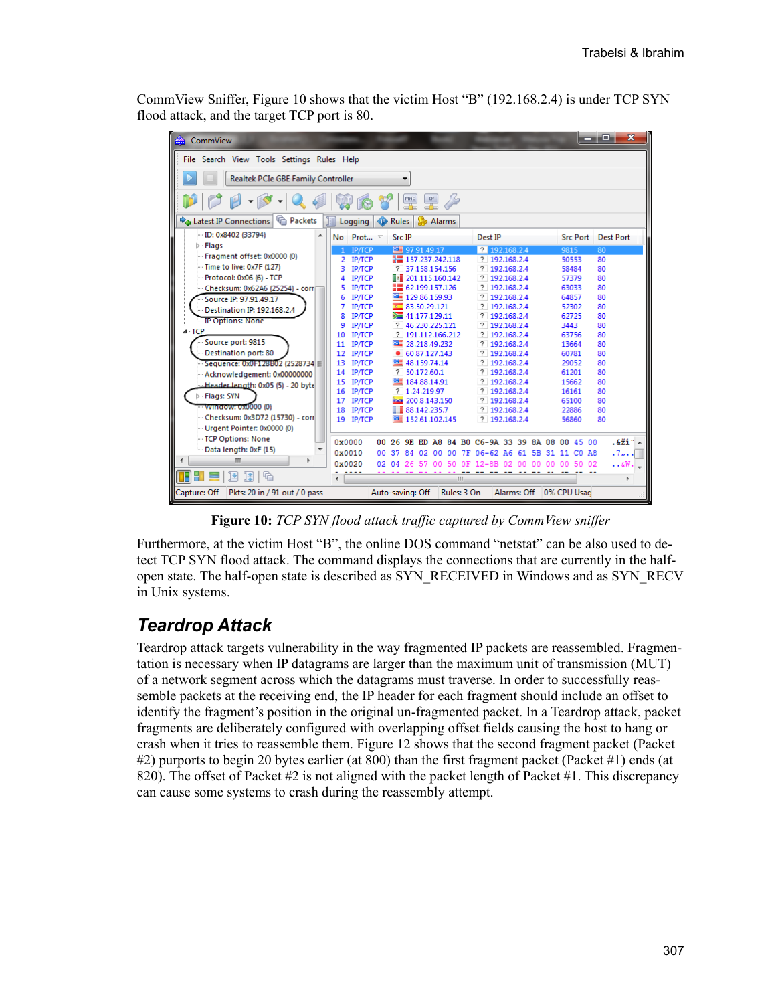CommView Sniffer, Figure 10 shows that the victim Host "B" (192.168.2.4) is under TCP SYN flood attack, and the target TCP port is 80.

| CommView                                                            |                                                                                | æ.<br>$\mathbf{x}$<br>- - |  |  |  |  |  |
|---------------------------------------------------------------------|--------------------------------------------------------------------------------|---------------------------|--|--|--|--|--|
|                                                                     | File Search View Tools Settings Rules Help                                     |                           |  |  |  |  |  |
| Realtek PCIe GBE Family Controller                                  |                                                                                |                           |  |  |  |  |  |
| $-10$<br>Þ<br>P                                                     | $rac{MAC}{dE}$                                                                 |                           |  |  |  |  |  |
| <sup>n</sup> Packets<br><b>D</b> <sup>4</sup> Latest IP Connections | Logging<br>Rules<br>Alarms<br>⊕                                                |                           |  |  |  |  |  |
| ID: 0x8402 (33794)<br>▲                                             | No Prot $\tau$<br><b>Src IP</b><br>Dest IP                                     | Src Port Dest Port        |  |  |  |  |  |
| $\triangleright$ Flags                                              | ■ 97.91.49.17<br>2 192.168.2.4<br><b>ІР/ТСР</b><br>1                           | 9815<br>80                |  |  |  |  |  |
| Fragment offset: 0x0000 (0)                                         | $\equiv 157.237.242.118$<br>? 192.168.2.4<br><b>IP/TCP</b><br>2                | 50553<br>80               |  |  |  |  |  |
| $-$ Time to live: $0x7F(127)$                                       | ? 37.158.154.156<br>? 192.168.2.4<br><b>IP/TCP</b><br>3.                       | 58484<br>80               |  |  |  |  |  |
| Protocol: 0x06 (6) - TCP                                            | $\overline{\mathbb{R}}$ 201.115.160.142<br>? 192.168.2.4<br><b>IP/TCP</b><br>4 | 80<br>57379               |  |  |  |  |  |
| Checksum: 0x62A6 (25254) - corr                                     | ■■ 62.199.157.126<br><b>IP/TCP</b><br>? 192,168,2.4                            | 63033<br>80               |  |  |  |  |  |
| Source IP: 97.91.49.17                                              | ■ 129.86.159.93<br>? 192,168,2.4<br><b>ІР/ТСР</b><br>6                         | 64857<br>80               |  |  |  |  |  |
| Destination IP: 192.168.2.4                                         | <b>IP/TCP</b><br>83.50.29.121<br>? 192.168.2.4<br>7                            | 52302<br>80               |  |  |  |  |  |
| IP Options: None                                                    | <b>ІР/ТСР</b><br>$\equiv 41.177.129.11$<br>? 192.168.2.4<br>8                  | 62725<br>80               |  |  |  |  |  |
| - TCP                                                               | <b>ІР/ТСР</b><br>? 46.230.225.121<br>? 192,168,2.4<br>9                        | 3443<br>80                |  |  |  |  |  |
|                                                                     | <b>IP/TCP</b><br>? 191.112.166.212<br>? 192,168,2.4<br>10                      | 63756<br>80               |  |  |  |  |  |
| -Source port: 9815                                                  | <b>ІР/ТСР</b><br>■ 28.218.49.232<br>? 192.168.2.4<br>11                        | 13664<br>80               |  |  |  |  |  |
| Destination port: 80                                                | <b>ІР/ТСР</b><br>$\bullet$ 60.87.127.143<br>? 192.168.2.4<br>12                | 60781<br>80               |  |  |  |  |  |
| $-$ Sequence: 0x0F128B02 (2528734 $\equiv$                          | 13 IP/TCP<br>48.159.74.14<br>? 192,168,2.4                                     | 29052<br>80               |  |  |  |  |  |
| --- Acknowledgement: 0x00000000                                     | ? 50.172.60.1<br>? 192,168,2.4<br>14 IP/TCP                                    | 61201<br>80               |  |  |  |  |  |
| Header length: 0x05 (5) - 20 byte                                   | 15 IP/TCP<br>■ 184.88.14.91<br>? 192.168.2.4                                   | 15662<br>80               |  |  |  |  |  |
| > Flags: SYN                                                        | 16 IP/TCP<br>? 1.24.219.97<br>? 192.168.2.4                                    | 16161<br>80               |  |  |  |  |  |
| - Window: 0x0000 (0)                                                | <b>ІР/ТСР</b><br>200.8.143.150<br>? 192.168.2.4<br>17                          | 65100<br>80               |  |  |  |  |  |
| Checksum: 0x3D72 (15730) - corr                                     | ■ 88.142.235.7<br><b>IP/TCP</b><br>? 192,168,2,4<br>18                         | 22886<br>80               |  |  |  |  |  |
| -- Urgent Pointer: 0x0000 (0)                                       | ■ 152.61.102.145<br>19 IP/TCP<br>? 192,168,2.4                                 | 56860<br>80               |  |  |  |  |  |
|                                                                     |                                                                                |                           |  |  |  |  |  |
| TCP Options: None                                                   | 0x0000<br>00 26 9E ED A8 84 B0 C6-9A 33 39 8A 08 00 45 00                      | $.621 -$                  |  |  |  |  |  |
| Data length: 0xF (15)                                               | 0x0010<br>37 84 02 00 00 7F 06-62 A6 61 5B 31 11 CO A8<br>00 <sup>1</sup>      | .7.                       |  |  |  |  |  |
| m                                                                   | 0x0020<br>50 OF 12-8B 02 00 00 00 00 50 02<br>02<br>04<br>26.<br>57<br>$00-$   | $$ &W $-$                 |  |  |  |  |  |
| TH HT<br>国<br>国<br>G                                                | <br>Ш                                                                          | Þ.                        |  |  |  |  |  |
| Capture: Off<br>Pkts: 20 in / 91 out / 0 pass                       | Auto-saving: Off<br>Rules: 3 On<br>Alarms: Off   0% CPU Usac                   |                           |  |  |  |  |  |

**Figure 10:** *TCP SYN flood attack traffic captured by CommView sniffer*

Furthermore, at the victim Host "B", the online DOS command "netstat" can be also used to detect TCP SYN flood attack. The command displays the connections that are currently in the halfopen state. The half-open state is described as SYN\_RECEIVED in Windows and as SYN\_RECV in Unix systems.

### *Teardrop Attack*

Teardrop attack targets vulnerability in the way fragmented IP packets are reassembled. Fragmentation is necessary when IP datagrams are larger than the maximum unit of transmission (MUT) of a network segment across which the datagrams must traverse. In order to successfully reassemble packets at the receiving end, the IP header for each fragment should include an offset to identify the fragment's position in the original un-fragmented packet. In a Teardrop attack, packet fragments are deliberately configured with overlapping offset fields causing the host to hang or crash when it tries to reassemble them. Figure 12 shows that the second fragment packet (Packet #2) purports to begin 20 bytes earlier (at 800) than the first fragment packet (Packet #1) ends (at 820). The offset of Packet #2 is not aligned with the packet length of Packet #1. This discrepancy can cause some systems to crash during the reassembly attempt.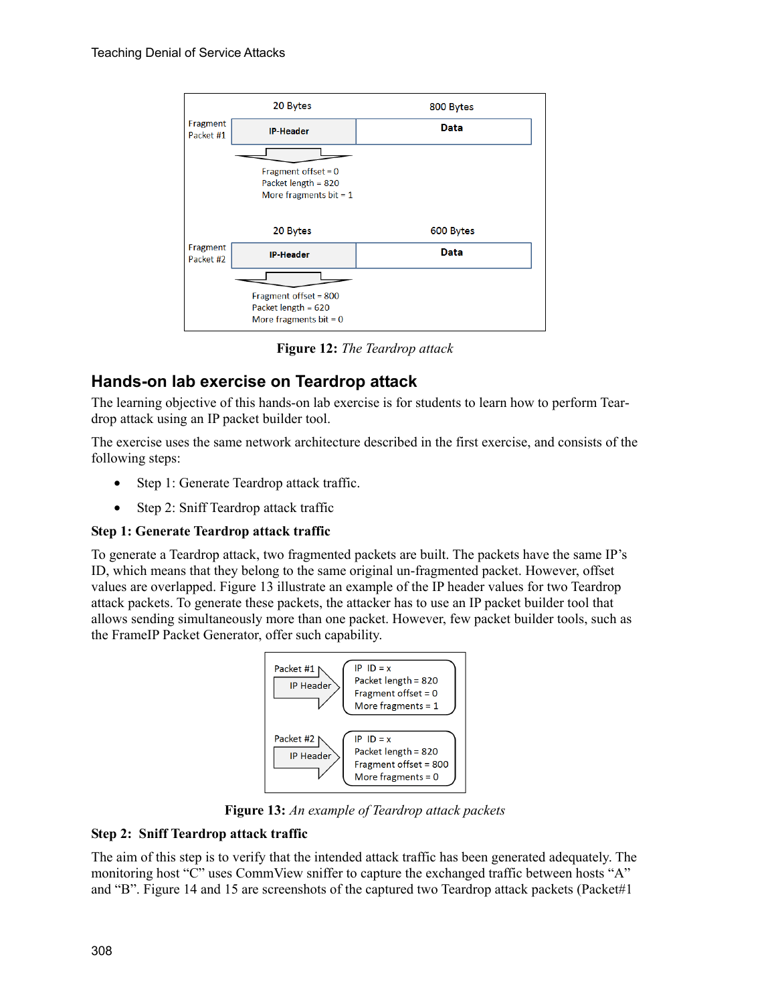

**Figure 12:** *The Teardrop attack*

### **Hands-on lab exercise on Teardrop attack**

The learning objective of this hands-on lab exercise is for students to learn how to perform Teardrop attack using an IP packet builder tool.

The exercise uses the same network architecture described in the first exercise, and consists of the following steps:

- Step 1: Generate Teardrop attack traffic.
- Step 2: Sniff Teardrop attack traffic

#### **Step 1: Generate Teardrop attack traffic**

To generate a Teardrop attack, two fragmented packets are built. The packets have the same IP's ID, which means that they belong to the same original un-fragmented packet. However, offset values are overlapped. Figure 13 illustrate an example of the IP header values for two Teardrop attack packets. To generate these packets, the attacker has to use an IP packet builder tool that allows sending simultaneously more than one packet. However, few packet builder tools, such as the FrameIP Packet Generator, offer such capability.



**Figure 13:** *An example of Teardrop attack packets*

#### **Step 2: Sniff Teardrop attack traffic**

The aim of this step is to verify that the intended attack traffic has been generated adequately. The monitoring host "C" uses CommView sniffer to capture the exchanged traffic between hosts "A" and "B". Figure 14 and 15 are screenshots of the captured two Teardrop attack packets (Packet#1)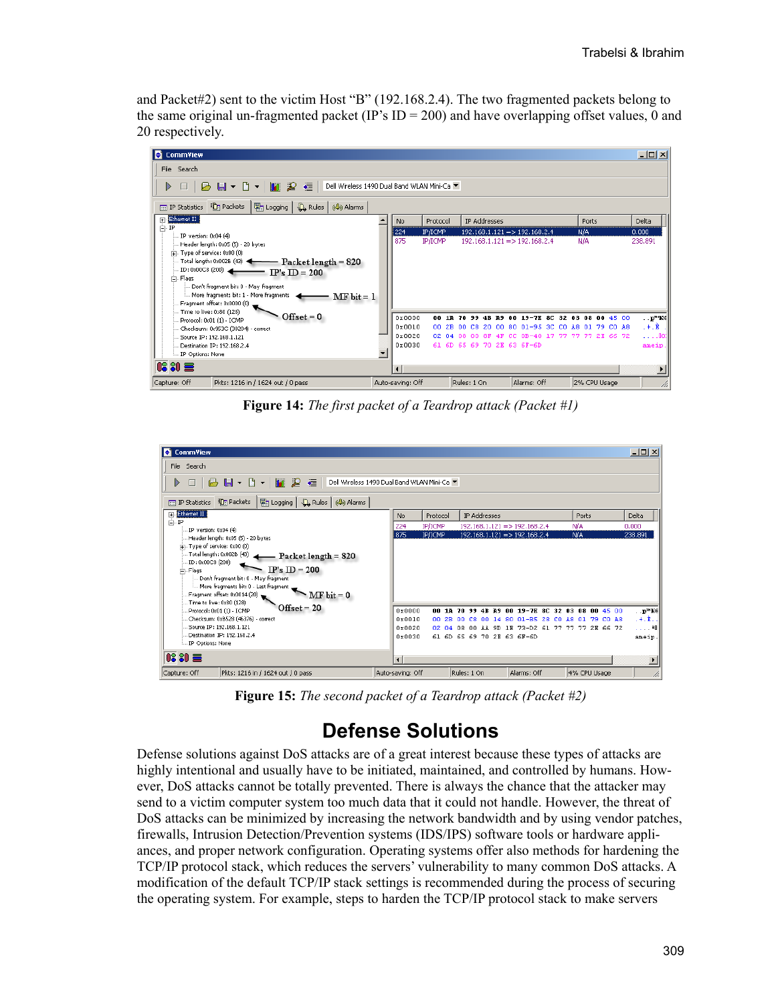and Packet#2) sent to the victim Host "B" (192.168.2.4). The two fragmented packets belong to the same original un-fragmented packet (IP's  $ID = 200$ ) and have overlapping offset values, 0 and 20 respectively.



**Figure 14:** *The first packet of a Teardrop attack (Packet #1)* 

| <b>CommView</b>                                                                                          |                                           |            |                                |                                 |                                                 | $-10x$                        |
|----------------------------------------------------------------------------------------------------------|-------------------------------------------|------------|--------------------------------|---------------------------------|-------------------------------------------------|-------------------------------|
| File Search                                                                                              |                                           |            |                                |                                 |                                                 |                               |
| <b>BH</b> + B + I<br>$\blacksquare$ $\blacktriangleright$<br>福<br>D<br>$\Box$                            | Dell Wireless 1490 Dual Band WLAN Mini-Ca |            |                                |                                 |                                                 |                               |
| 開 Logging<br>$\mathbb{Q}_k$ Rules $\mathbb{Q}_k$ Alarms<br><b>in</b> Packets<br><b>III</b> IP Statistics |                                           |            |                                |                                 |                                                 |                               |
| Ethernet II<br>$\overline{+}$                                                                            | No                                        | Protocol   | IP Addresses                   |                                 | Ports                                           | Delta                         |
| Ė⊢IP<br>IP version: 0x04 (4)                                                                             | 224                                       | IP/ICMP    |                                | $192.168.1.121 = > 192.168.2.4$ | N/A                                             | 0.000                         |
| Header length: 0x05 (5) - 20 bytes                                                                       | 1875                                      | IP/ICMP    |                                | $192.168.1.121 = > 192.168.2.4$ | N/A                                             | 238,891                       |
| $\dot{+}$ . Type of service: $0x00(0)$                                                                   |                                           |            |                                |                                 |                                                 |                               |
| Total length: 0x002B (43)<br>- Packet length = 820                                                       |                                           |            |                                |                                 |                                                 |                               |
| ID: 0x00C8 (200)<br>$IP's ID = 200$<br>向-Flags                                                           |                                           |            |                                |                                 |                                                 |                               |
| Don't fragment bit: 0 - May fragment                                                                     |                                           |            |                                |                                 |                                                 |                               |
|                                                                                                          |                                           |            |                                |                                 |                                                 |                               |
| Fragment offset: 0x0014 (20)                                                                             |                                           |            |                                |                                 |                                                 |                               |
| Time to live: 0x80 (128)<br>$Offset = 20$<br>Protocol: 0x01 (1) - ICMP                                   | 0x0000                                    | 88.<br>10. | 70.<br>99<br>4 <b>R</b><br>719 | $0019 - 7E$<br>80.              | 32 03 08 00 45 00                               | $\cdot \cdot \mathbf{p}^m$ Ke |
| Checksum: 0xB528 (46376) - correct                                                                       | 0x0010                                    | 00.<br>2B. | -99<br>C8.<br>-00<br>14        | $01 - BS$<br>28<br>-80<br>co.   | A8 01<br>-79.<br>CO AS                          | . +. È. .                     |
| Source IP: 192.168.1.121                                                                                 | 0x0020                                    |            |                                |                                 | 02 04 08 00 AA 9D 1E 73-D2 61 77 77 77 2E 66 72 | 111140                        |
| Destination IP: 192.168.2.4                                                                              | 0x0030                                    |            | 61 6D 65 69 70 2E 63 6F-6D     |                                 |                                                 | ameip.                        |
| IP Options: None                                                                                         |                                           |            |                                |                                 |                                                 |                               |
| <b>08 80 量</b>                                                                                           | $\blacksquare$                            |            |                                |                                 |                                                 |                               |
|                                                                                                          |                                           |            |                                |                                 |                                                 |                               |
| Pkts: 1216 in / 1624 out / 0 pass<br>Capture: Off                                                        | Auto-saving: Off                          |            | Rules: 1 On                    | Alarms: Off                     | 4% CPU Usage                                    | h                             |

**Figure 15:** *The second packet of a Teardrop attack (Packet #2)* 

# **Defense Solutions**

Defense solutions against DoS attacks are of a great interest because these types of attacks are highly intentional and usually have to be initiated, maintained, and controlled by humans. However, DoS attacks cannot be totally prevented. There is always the chance that the attacker may send to a victim computer system too much data that it could not handle. However, the threat of DoS attacks can be minimized by increasing the network bandwidth and by using vendor patches, firewalls, Intrusion Detection/Prevention systems (IDS/IPS) software tools or hardware appliances, and proper network configuration. Operating systems offer also methods for hardening the TCP/IP protocol stack, which reduces the servers' vulnerability to many common DoS attacks. A modification of the default TCP/IP stack settings is recommended during the process of securing the operating system. For example, steps to harden the TCP/IP protocol stack to make servers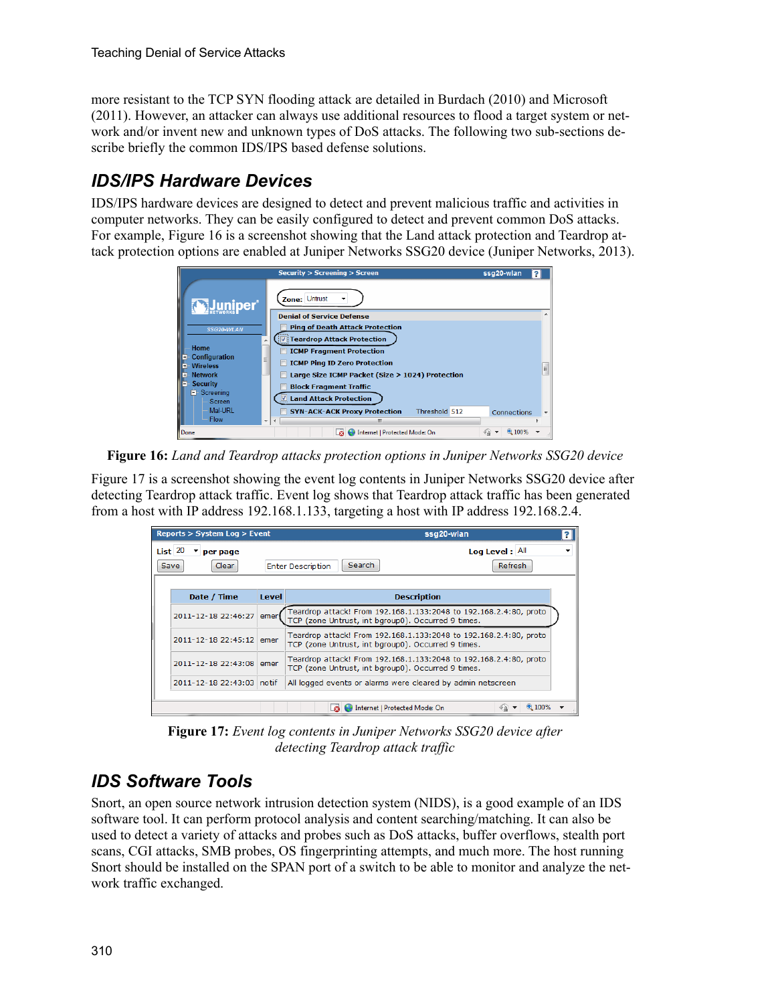more resistant to the TCP SYN flooding attack are detailed in Burdach (2010) and Microsoft (2011). However, an attacker can always use additional resources to flood a target system or network and/or invent new and unknown types of DoS attacks. The following two sub-sections describe briefly the common IDS/IPS based defense solutions.

## *IDS/IPS Hardware Devices*

IDS/IPS hardware devices are designed to detect and prevent malicious traffic and activities in computer networks. They can be easily configured to detect and prevent common DoS attacks. For example, Figure 16 is a screenshot showing that the Land attack protection and Teardrop attack protection options are enabled at Juniper Networks SSG20 device (Juniper Networks, 2013).



**Figure 16:** *Land and Teardrop attacks protection options in Juniper Networks SSG20 device*

Figure 17 is a screenshot showing the event log contents in Juniper Networks SSG20 device after detecting Teardrop attack traffic. Event log shows that Teardrop attack traffic has been generated from a host with IP address 192.168.1.133, targeting a host with IP address 192.168.2.4.

| Reports > System Log > Event |                                                                                                                                 | ssq20-wlan                                                                                                              |                |  |
|------------------------------|---------------------------------------------------------------------------------------------------------------------------------|-------------------------------------------------------------------------------------------------------------------------|----------------|--|
| $List$ 20<br>per page        |                                                                                                                                 |                                                                                                                         | Log Level: All |  |
| Clear<br>Save                |                                                                                                                                 | Search<br><b>Enter Description</b>                                                                                      | Refresh        |  |
|                              |                                                                                                                                 |                                                                                                                         |                |  |
| Date / Time                  | Level                                                                                                                           | <b>Description</b>                                                                                                      |                |  |
| 2011-12-18 22:46:27          | emer                                                                                                                            | Teardrop attack! From 192.168.1.133:2048 to 192.168.2.4:80, proto<br>TCP (zone Untrust, int bgroup0). Occurred 9 times. |                |  |
| 2011-12-18 22:45:12          | emer                                                                                                                            | Teardrop attack! From 192.168.1.133:2048 to 192.168.2.4:80, proto<br>TCP (zone Untrust, int bgroup0). Occurred 9 times. |                |  |
| 2011-12-18 22:43:08          | Teardrop attack! From 192.168.1.133:2048 to 192.168.2.4:80, proto<br>emer<br>TCP (zone Untrust, int bgroup0). Occurred 9 times. |                                                                                                                         |                |  |
| 2011-12-18 22:43:03 notif    |                                                                                                                                 | All logged events or alarms were cleared by admin netscreen                                                             |                |  |
|                              |                                                                                                                                 |                                                                                                                         |                |  |
|                              |                                                                                                                                 | Internet   Protected Mode: On                                                                                           | 100%<br>Fa     |  |

**Figure 17:** *Event log contents in Juniper Networks SSG20 device after detecting Teardrop attack traffic*

## *IDS Software Tools*

Snort, an open source network intrusion detection system (NIDS), is a good example of an IDS software tool. It can perform protocol analysis and content searching/matching. It can also be used to detect a variety of attacks and probes such as DoS attacks, buffer overflows, stealth port scans, CGI attacks, SMB probes, OS fingerprinting attempts, and much more. The host running Snort should be installed on the SPAN port of a switch to be able to monitor and analyze the network traffic exchanged.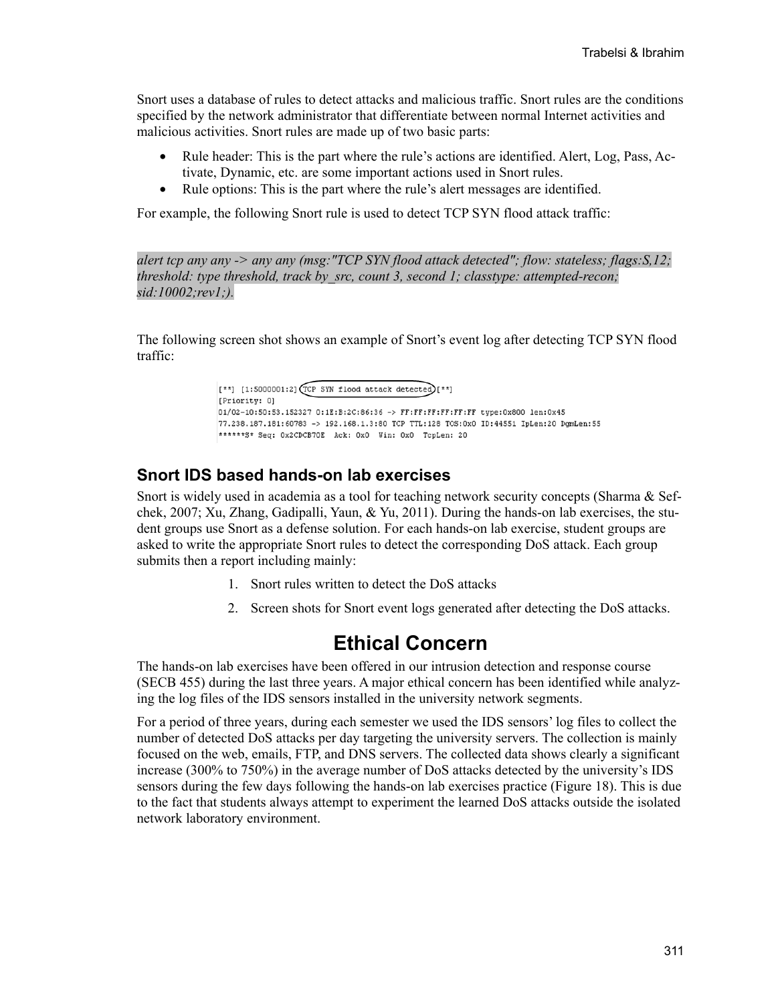Snort uses a database of rules to detect attacks and malicious traffic. Snort rules are the conditions specified by the network administrator that differentiate between normal Internet activities and malicious activities. Snort rules are made up of two basic parts:

- Rule header: This is the part where the rule's actions are identified. Alert, Log, Pass, Activate, Dynamic, etc. are some important actions used in Snort rules.
- Rule options: This is the part where the rule's alert messages are identified.

For example, the following Snort rule is used to detect TCP SYN flood attack traffic:

*alert tcp any any -> any any (msg:"TCP SYN flood attack detected"; flow: stateless; flags:S,12; threshold: type threshold, track by\_src, count 3, second 1; classtype: attempted-recon; sid:10002;rev1;).* 

The following screen shot shows an example of Snort's event log after detecting TCP SYN flood traffic:

> [ $**$ ] [1:5000001:2] (TCP SYN flood attack detected)[ $**$ ] [Priority: 0] 01/02-10:50:53.152327 0:1E:B:2C:86:36 -> FF:FF:FF:FF:FF:FF type:0x800 len:0x45 77.238.187.181:60783 -> 192.168.1.3:80 TCP TTL:128 TOS:0x0 ID:44551 IpLen:20 DgmLen:55 \*\*\*\*\*\*S\* Seq: 0x2CDCB70E Ack: 0x0 Win: 0x0 TcpLen: 20

#### **Snort IDS based hands-on lab exercises**

Snort is widely used in academia as a tool for teaching network security concepts (Sharma & Sefchek, 2007; Xu, Zhang, Gadipalli, Yaun, & Yu, 2011). During the hands-on lab exercises, the student groups use Snort as a defense solution. For each hands-on lab exercise, student groups are asked to write the appropriate Snort rules to detect the corresponding DoS attack. Each group submits then a report including mainly:

- 1. Snort rules written to detect the DoS attacks
- 2. Screen shots for Snort event logs generated after detecting the DoS attacks.

## **Ethical Concern**

The hands-on lab exercises have been offered in our intrusion detection and response course (SECB 455) during the last three years. A major ethical concern has been identified while analyzing the log files of the IDS sensors installed in the university network segments.

For a period of three years, during each semester we used the IDS sensors' log files to collect the number of detected DoS attacks per day targeting the university servers. The collection is mainly focused on the web, emails, FTP, and DNS servers. The collected data shows clearly a significant increase (300% to 750%) in the average number of DoS attacks detected by the university's IDS sensors during the few days following the hands-on lab exercises practice (Figure 18). This is due to the fact that students always attempt to experiment the learned DoS attacks outside the isolated network laboratory environment.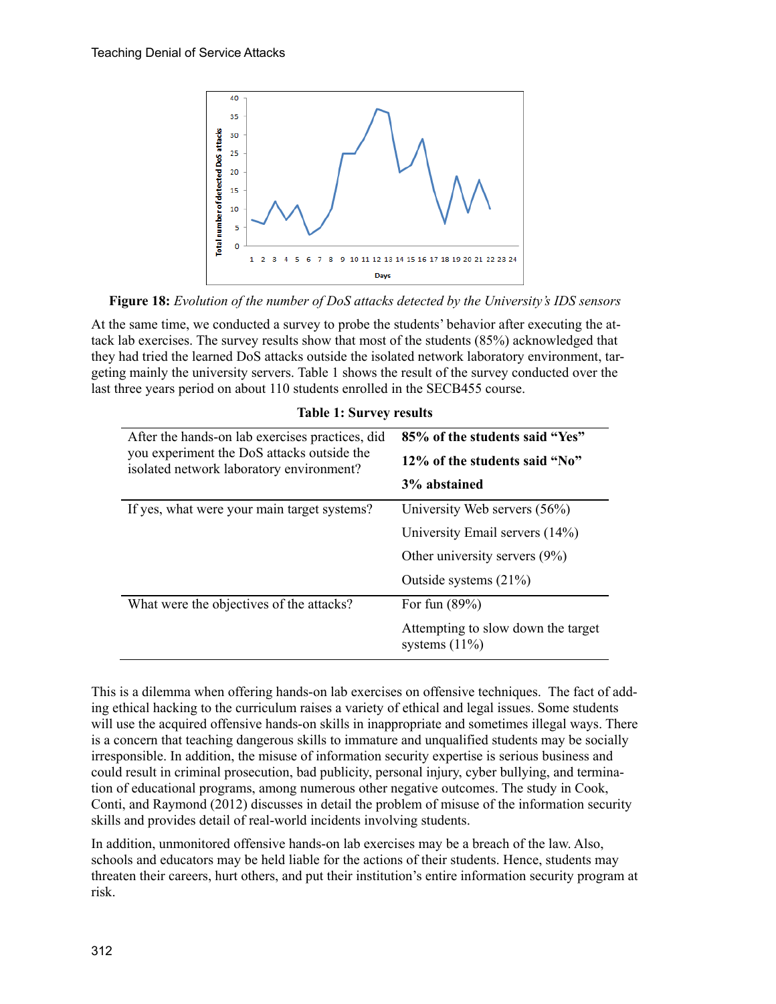

**Figure 18:** *Evolution of the number of DoS attacks detected by the University's IDS sensors*

At the same time, we conducted a survey to probe the students' behavior after executing the attack lab exercises. The survey results show that most of the students (85%) acknowledged that they had tried the learned DoS attacks outside the isolated network laboratory environment, targeting mainly the university servers. Table 1 shows the result of the survey conducted over the last three years period on about 110 students enrolled in the SECB455 course.

| After the hands-on lab exercises practices, did<br>you experiment the DoS attacks outside the<br>isolated network laboratory environment? | 85% of the students said "Yes"<br>12\% of the students said "No"<br>3% abstained                                               |
|-------------------------------------------------------------------------------------------------------------------------------------------|--------------------------------------------------------------------------------------------------------------------------------|
| If yes, what were your main target systems?                                                                                               | University Web servers (56%)<br>University Email servers (14%)<br>Other university servers $(9\%)$<br>Outside systems $(21\%)$ |
| What were the objectives of the attacks?                                                                                                  | For fun $(89\%)$<br>Attempting to slow down the target<br>systems $(11\%)$                                                     |

#### **Table 1: Survey results**

This is a dilemma when offering hands-on lab exercises on offensive techniques. The fact of adding ethical hacking to the curriculum raises a variety of ethical and legal issues. Some students will use the acquired offensive hands-on skills in inappropriate and sometimes illegal ways. There is a concern that teaching dangerous skills to immature and unqualified students may be socially irresponsible. In addition, the misuse of information security expertise is serious business and could result in criminal prosecution, bad publicity, personal injury, cyber bullying, and termination of educational programs, among numerous other negative outcomes. The study in Cook, Conti, and Raymond (2012) discusses in detail the problem of misuse of the information security skills and provides detail of real-world incidents involving students.

In addition, unmonitored offensive hands-on lab exercises may be a breach of the law. Also, schools and educators may be held liable for the actions of their students. Hence, students may threaten their careers, hurt others, and put their institution's entire information security program at risk.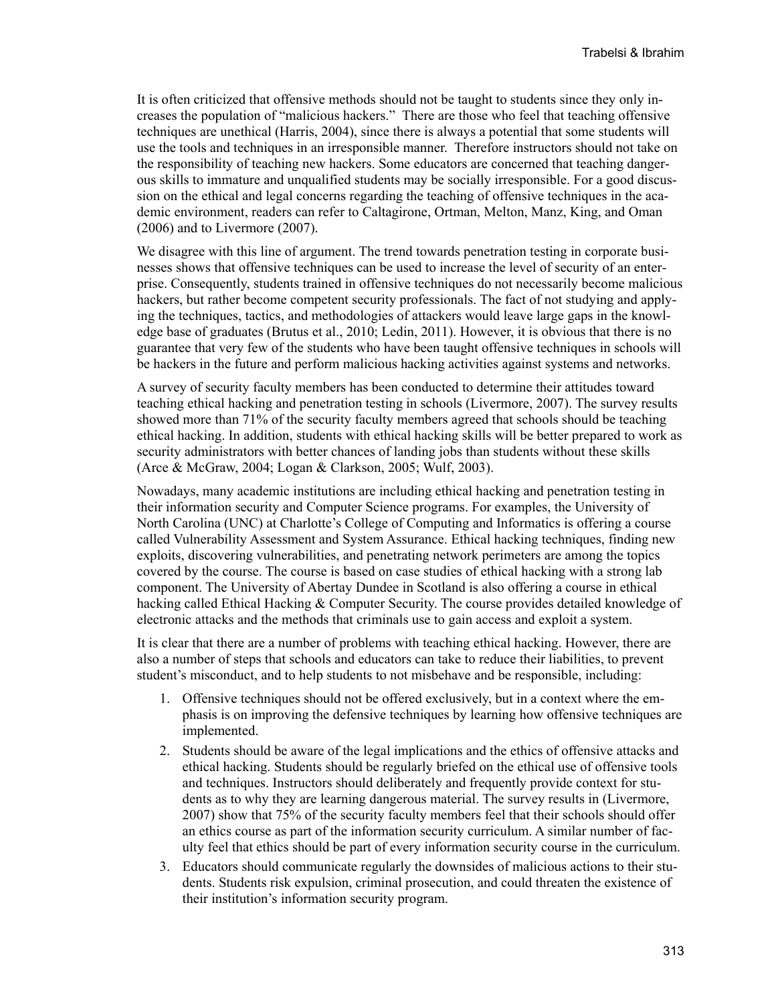It is often criticized that offensive methods should not be taught to students since they only increases the population of "malicious hackers." There are those who feel that teaching offensive techniques are unethical (Harris, 2004), since there is always a potential that some students will use the tools and techniques in an irresponsible manner. Therefore instructors should not take on the responsibility of teaching new hackers. Some educators are concerned that teaching dangerous skills to immature and unqualified students may be socially irresponsible. For a good discussion on the ethical and legal concerns regarding the teaching of offensive techniques in the academic environment, readers can refer to Caltagirone, Ortman, Melton, Manz, King, and Oman (2006) and to Livermore (2007).

We disagree with this line of argument. The trend towards penetration testing in corporate businesses shows that offensive techniques can be used to increase the level of security of an enterprise. Consequently, students trained in offensive techniques do not necessarily become malicious hackers, but rather become competent security professionals. The fact of not studying and applying the techniques, tactics, and methodologies of attackers would leave large gaps in the knowledge base of graduates (Brutus et al., 2010; Ledin, 2011). However, it is obvious that there is no guarantee that very few of the students who have been taught offensive techniques in schools will be hackers in the future and perform malicious hacking activities against systems and networks.

A survey of security faculty members has been conducted to determine their attitudes toward teaching ethical hacking and penetration testing in schools (Livermore, 2007). The survey results showed more than 71% of the security faculty members agreed that schools should be teaching ethical hacking. In addition, students with ethical hacking skills will be better prepared to work as security administrators with better chances of landing jobs than students without these skills (Arce & McGraw, 2004; Logan & Clarkson, 2005; Wulf, 2003).

Nowadays, many academic institutions are including ethical hacking and penetration testing in their information security and Computer Science programs. For examples, the University of North Carolina (UNC) at Charlotte's College of Computing and Informatics is offering a course called Vulnerability Assessment and System Assurance. Ethical hacking techniques, finding new exploits, discovering vulnerabilities, and penetrating network perimeters are among the topics covered by the course. The course is based on case studies of ethical hacking with a strong lab component. The University of Abertay Dundee in Scotland is also offering a course in ethical hacking called Ethical Hacking & Computer Security. The course provides detailed knowledge of electronic attacks and the methods that criminals use to gain access and exploit a system.

It is clear that there are a number of problems with teaching ethical hacking. However, there are also a number of steps that schools and educators can take to reduce their liabilities, to prevent student's misconduct, and to help students to not misbehave and be responsible, including:

- 1. Offensive techniques should not be offered exclusively, but in a context where the emphasis is on improving the defensive techniques by learning how offensive techniques are implemented.
- 2. Students should be aware of the legal implications and the ethics of offensive attacks and ethical hacking. Students should be regularly briefed on the ethical use of offensive tools and techniques. Instructors should deliberately and frequently provide context for students as to why they are learning dangerous material. The survey results in (Livermore, 2007) show that 75% of the security faculty members feel that their schools should offer an ethics course as part of the information security curriculum. A similar number of faculty feel that ethics should be part of every information security course in the curriculum.
- 3. Educators should communicate regularly the downsides of malicious actions to their students. Students risk expulsion, criminal prosecution, and could threaten the existence of their institution's information security program.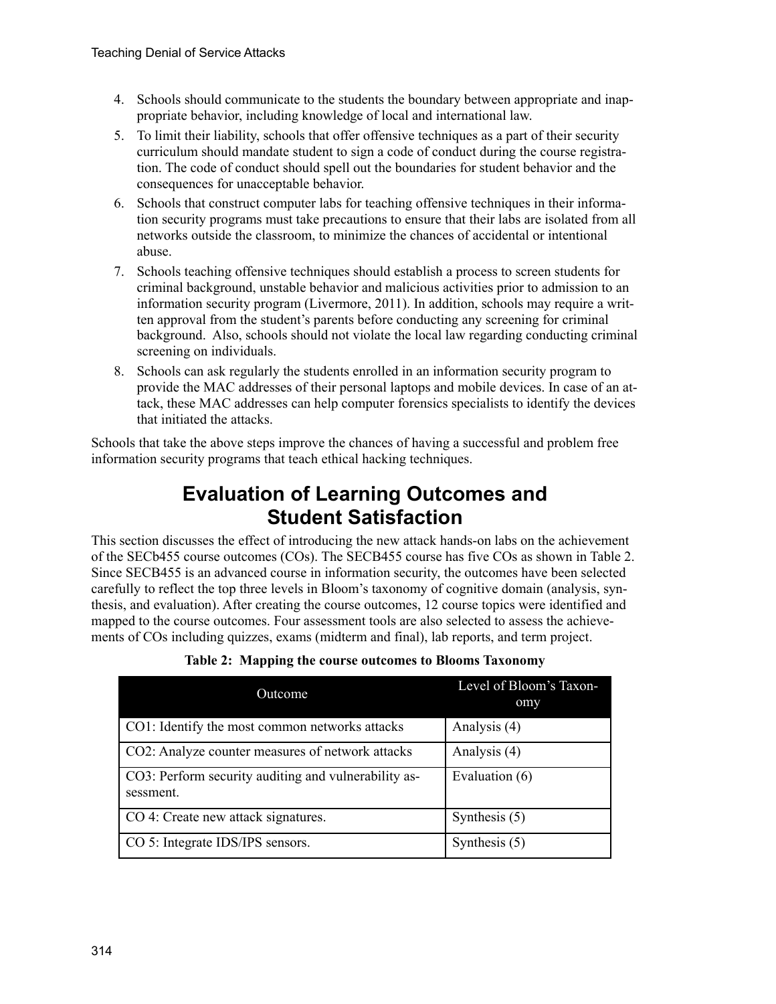- 4. Schools should communicate to the students the boundary between appropriate and inappropriate behavior, including knowledge of local and international law.
- 5. To limit their liability, schools that offer offensive techniques as a part of their security curriculum should mandate student to sign a code of conduct during the course registration. The code of conduct should spell out the boundaries for student behavior and the consequences for unacceptable behavior.
- 6. Schools that construct computer labs for teaching offensive techniques in their information security programs must take precautions to ensure that their labs are isolated from all networks outside the classroom, to minimize the chances of accidental or intentional abuse.
- 7. Schools teaching offensive techniques should establish a process to screen students for criminal background, unstable behavior and malicious activities prior to admission to an information security program (Livermore, 2011). In addition, schools may require a written approval from the student's parents before conducting any screening for criminal background. Also, schools should not violate the local law regarding conducting criminal screening on individuals.
- 8. Schools can ask regularly the students enrolled in an information security program to provide the MAC addresses of their personal laptops and mobile devices. In case of an attack, these MAC addresses can help computer forensics specialists to identify the devices that initiated the attacks.

Schools that take the above steps improve the chances of having a successful and problem free information security programs that teach ethical hacking techniques.

# **Evaluation of Learning Outcomes and Student Satisfaction**

This section discusses the effect of introducing the new attack hands-on labs on the achievement of the SECb455 course outcomes (COs). The SECB455 course has five COs as shown in Table 2. Since SECB455 is an advanced course in information security, the outcomes have been selected carefully to reflect the top three levels in Bloom's taxonomy of cognitive domain (analysis, synthesis, and evaluation). After creating the course outcomes, 12 course topics were identified and mapped to the course outcomes. Four assessment tools are also selected to assess the achievements of COs including quizzes, exams (midterm and final), lab reports, and term project.

| Outcome                                                           | Level of Bloom's Taxon-<br>omy |  |
|-------------------------------------------------------------------|--------------------------------|--|
| CO1: Identify the most common networks attacks                    | Analysis (4)                   |  |
| CO2: Analyze counter measures of network attacks                  | Analysis (4)                   |  |
| CO3: Perform security auditing and vulnerability as-<br>sessment. | Evaluation (6)                 |  |
| CO 4: Create new attack signatures.                               | Synthesis $(5)$                |  |
| CO 5: Integrate IDS/IPS sensors.                                  | Synthesis $(5)$                |  |

**Table 2: Mapping the course outcomes to Blooms Taxonomy**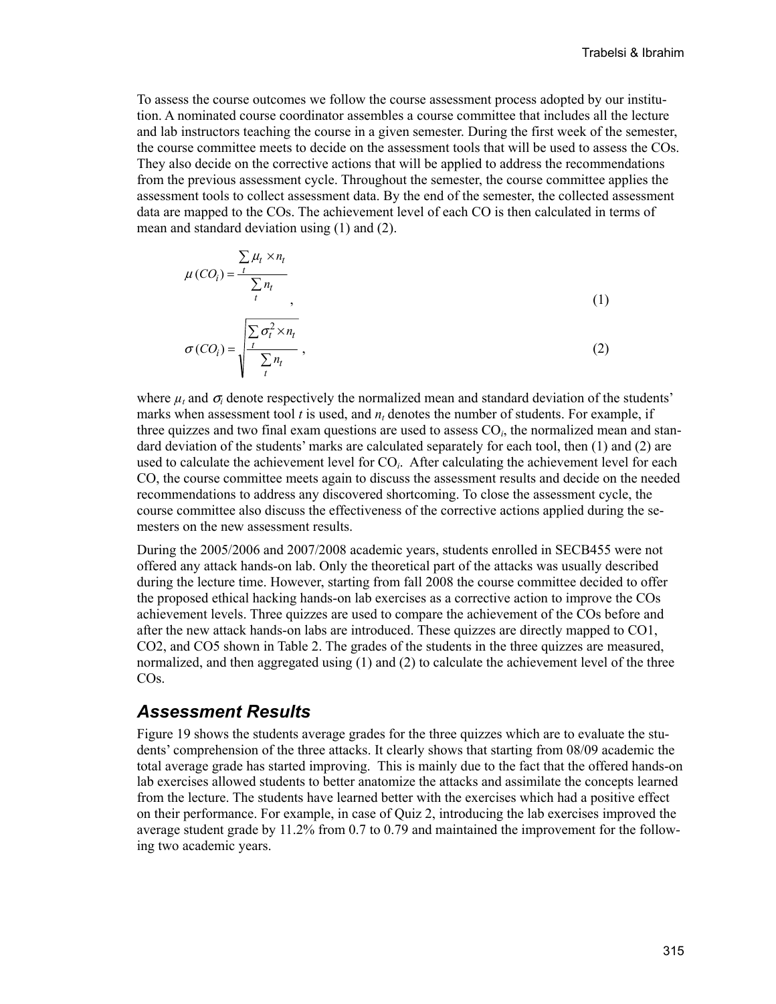To assess the course outcomes we follow the course assessment process adopted by our institution. A nominated course coordinator assembles a course committee that includes all the lecture and lab instructors teaching the course in a given semester. During the first week of the semester, the course committee meets to decide on the assessment tools that will be used to assess the COs. They also decide on the corrective actions that will be applied to address the recommendations from the previous assessment cycle. Throughout the semester, the course committee applies the assessment tools to collect assessment data. By the end of the semester, the collected assessment data are mapped to the COs. The achievement level of each CO is then calculated in terms of mean and standard deviation using (1) and (2).

$$
\mu(CO_i) = \frac{\sum_{t} \mu_t \times n_t}{\sum_{t} n_t},
$$
\n
$$
\sigma(CO_i) = \sqrt{\frac{\sum_{t} \sigma_t^2 \times n_t}{\sum_{t} n_t}},
$$
\n(1)

where  $\mu_t$  and  $\sigma_i$  denote respectively the normalized mean and standard deviation of the students' marks when assessment tool *t* is used, and *n<sub>t</sub>* denotes the number of students. For example, if three quizzes and two final exam questions are used to assess CO*i*, the normalized mean and standard deviation of the students' marks are calculated separately for each tool, then (1) and (2) are used to calculate the achievement level for CO*i*. After calculating the achievement level for each CO, the course committee meets again to discuss the assessment results and decide on the needed recommendations to address any discovered shortcoming. To close the assessment cycle, the course committee also discuss the effectiveness of the corrective actions applied during the semesters on the new assessment results.

During the 2005/2006 and 2007/2008 academic years, students enrolled in SECB455 were not offered any attack hands-on lab. Only the theoretical part of the attacks was usually described during the lecture time. However, starting from fall 2008 the course committee decided to offer the proposed ethical hacking hands-on lab exercises as a corrective action to improve the COs achievement levels. Three quizzes are used to compare the achievement of the COs before and after the new attack hands-on labs are introduced. These quizzes are directly mapped to CO1, CO2, and CO5 shown in Table 2. The grades of the students in the three quizzes are measured, normalized, and then aggregated using (1) and (2) to calculate the achievement level of the three COs.

#### *Assessment Results*

Figure 19 shows the students average grades for the three quizzes which are to evaluate the students' comprehension of the three attacks. It clearly shows that starting from 08/09 academic the total average grade has started improving. This is mainly due to the fact that the offered hands-on lab exercises allowed students to better anatomize the attacks and assimilate the concepts learned from the lecture. The students have learned better with the exercises which had a positive effect on their performance. For example, in case of Quiz 2, introducing the lab exercises improved the average student grade by 11.2% from 0.7 to 0.79 and maintained the improvement for the following two academic years.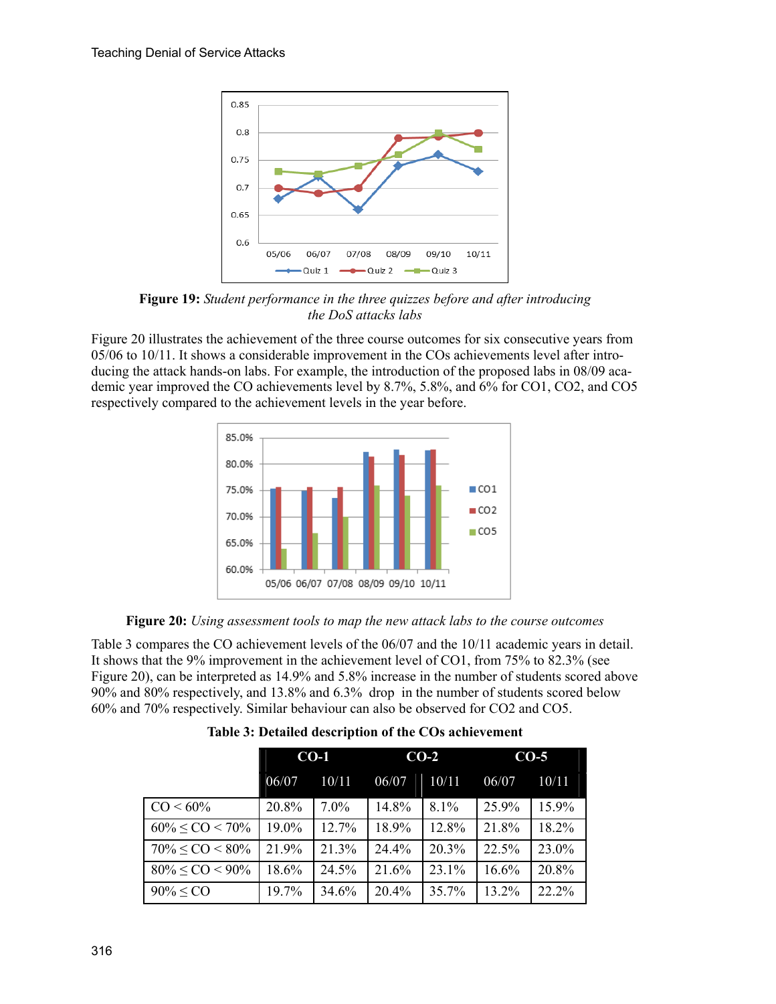

**Figure 19:** *Student performance in the three quizzes before and after introducing the DoS attacks labs*

Figure 20 illustrates the achievement of the three course outcomes for six consecutive years from 05/06 to 10/11. It shows a considerable improvement in the COs achievements level after introducing the attack hands-on labs. For example, the introduction of the proposed labs in 08/09 academic year improved the CO achievements level by 8.7%, 5.8%, and 6% for CO1, CO2, and CO5 respectively compared to the achievement levels in the year before.



**Figure 20:** *Using assessment tools to map the new attack labs to the course outcomes*

Table 3 compares the CO achievement levels of the 06/07 and the 10/11 academic years in detail. It shows that the 9% improvement in the achievement level of CO1, from 75% to 82.3% (see Figure 20), can be interpreted as 14.9% and 5.8% increase in the number of students scored above 90% and 80% respectively, and 13.8% and 6.3% drop in the number of students scored below 60% and 70% respectively. Similar behaviour can also be observed for CO2 and CO5.

| Table 3: Detailed description of the COs achievement |  |
|------------------------------------------------------|--|
|------------------------------------------------------|--|

|                          | $CO-1$ |         | $CO-2$ |       | $CO-5$ |       |
|--------------------------|--------|---------|--------|-------|--------|-------|
|                          | 06/07  | 10/11   | 06/07  | 10/11 | 06/07  | 10/11 |
| $CO < 60\%$              | 20.8%  | $7.0\%$ | 14.8%  | 8.1%  | 25.9%  | 15.9% |
| $60\% \leq CO \leq 70\%$ | 19.0%  | 12.7%   | 18.9%  | 12.8% | 21.8%  | 18.2% |
| $70\% \leq CO \leq 80\%$ | 21.9%  | 21.3%   | 24.4%  | 20.3% | 22.5%  | 23.0% |
| $80\% \leq CO \leq 90\%$ | 18.6%  | 24.5%   | 21.6%  | 23.1% | 16.6%  | 20.8% |
| $90\% \leq CO$           | 19.7%  | 34.6%   | 20.4%  | 35.7% | 13.2%  | 22.2% |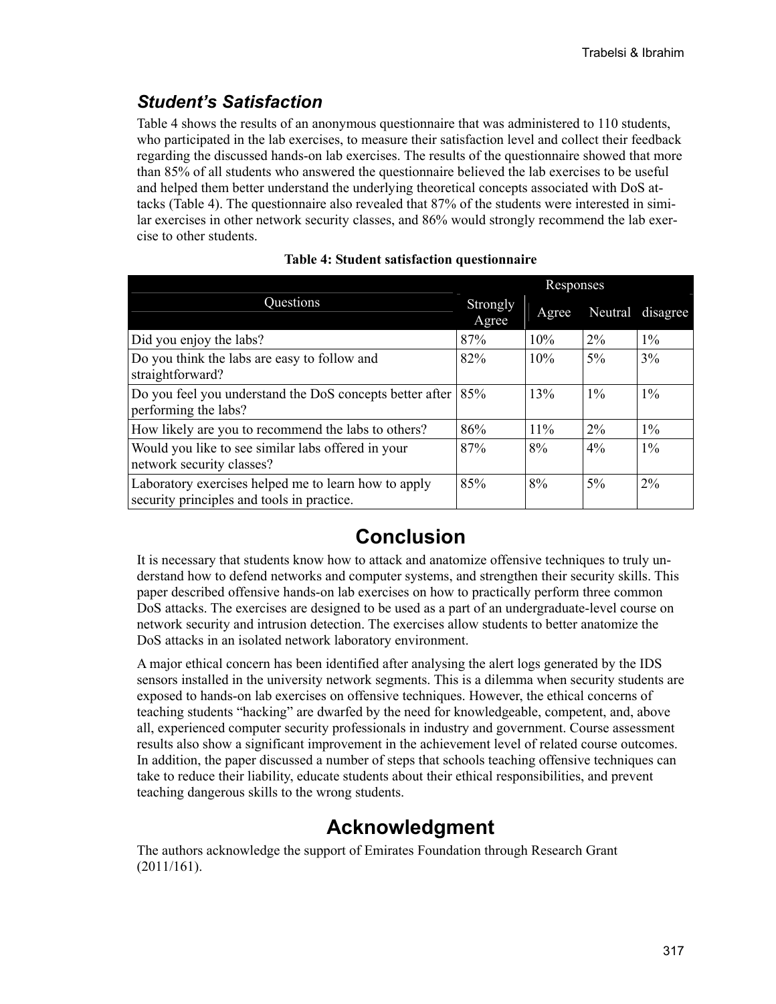## *Student's Satisfaction*

Table 4 shows the results of an anonymous questionnaire that was administered to 110 students, who participated in the lab exercises, to measure their satisfaction level and collect their feedback regarding the discussed hands-on lab exercises. The results of the questionnaire showed that more than 85% of all students who answered the questionnaire believed the lab exercises to be useful and helped them better understand the underlying theoretical concepts associated with DoS attacks (Table 4). The questionnaire also revealed that 87% of the students were interested in similar exercises in other network security classes, and 86% would strongly recommend the lab exercise to other students.

|                                                                                                    |                   | Responses |       |                  |  |  |
|----------------------------------------------------------------------------------------------------|-------------------|-----------|-------|------------------|--|--|
| Questions                                                                                          | Strongly<br>Agree | Agree     |       | Neutral disagree |  |  |
| Did you enjoy the labs?                                                                            | 87%               | 10%       | $2\%$ | $1\%$            |  |  |
| Do you think the labs are easy to follow and<br>straightforward?                                   | 82%               | 10%       | $5\%$ | $3\%$            |  |  |
| Do you feel you understand the DoS concepts better after<br>performing the labs?                   | 85%               | 13%       | $1\%$ | $1\%$            |  |  |
| How likely are you to recommend the labs to others?                                                | 86%               | 11%       | $2\%$ | $1\%$            |  |  |
| Would you like to see similar labs offered in your<br>network security classes?                    | 87%               | 8%        | $4\%$ | $1\%$            |  |  |
| Laboratory exercises helped me to learn how to apply<br>security principles and tools in practice. | 85%               | 8%        | $5\%$ | $2\%$            |  |  |

|  |  | <b>Table 4: Student satisfaction questionnaire</b> |  |  |
|--|--|----------------------------------------------------|--|--|
|--|--|----------------------------------------------------|--|--|

# **Conclusion**

It is necessary that students know how to attack and anatomize offensive techniques to truly understand how to defend networks and computer systems, and strengthen their security skills. This paper described offensive hands-on lab exercises on how to practically perform three common DoS attacks. The exercises are designed to be used as a part of an undergraduate-level course on network security and intrusion detection. The exercises allow students to better anatomize the DoS attacks in an isolated network laboratory environment.

A major ethical concern has been identified after analysing the alert logs generated by the IDS sensors installed in the university network segments. This is a dilemma when security students are exposed to hands-on lab exercises on offensive techniques. However, the ethical concerns of teaching students "hacking" are dwarfed by the need for knowledgeable, competent, and, above all, experienced computer security professionals in industry and government. Course assessment results also show a significant improvement in the achievement level of related course outcomes. In addition, the paper discussed a number of steps that schools teaching offensive techniques can take to reduce their liability, educate students about their ethical responsibilities, and prevent teaching dangerous skills to the wrong students.

## **Acknowledgment**

The authors acknowledge the support of Emirates Foundation through Research Grant (2011/161).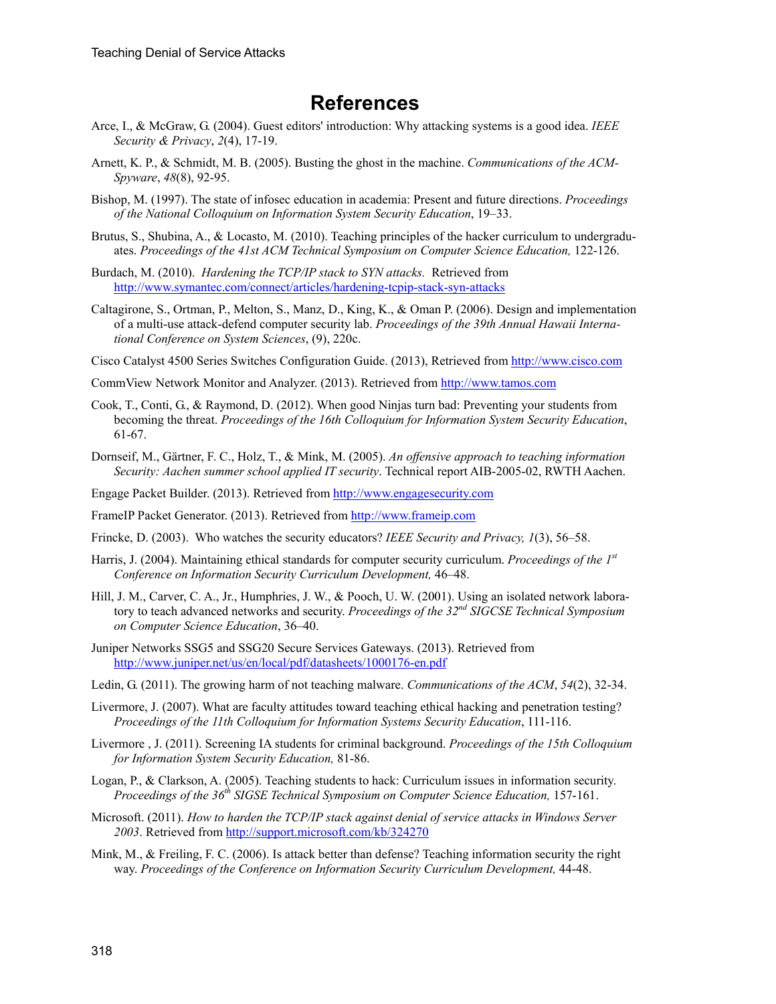### **References**

- Arce, I., & McGraw, G. (2004). Guest editors' introduction: Why attacking systems is a good idea. *IEEE Security & Privacy*, *2*(4), 17-19.
- Arnett, K. P., & Schmidt, M. B. (2005). Busting the ghost in the machine. *Communications of the ACM-Spyware*, *48*(8), 92-95.
- Bishop, M. (1997). The state of infosec education in academia: Present and future directions. *Proceedings of the National Colloquium on Information System Security Education*, 19–33.
- Brutus, S., Shubina, A., & Locasto, M. (2010). Teaching principles of the hacker curriculum to undergraduates. *Proceedings of the 41st ACM Technical Symposium on Computer Science Education,* 122-126.
- Burdach, M. (2010). *Hardening the TCP/IP stack to SYN attacks.* Retrieved from <http://www.symantec.com/connect/articles/hardening-tcpip-stack-syn-attacks>
- Caltagirone, S., Ortman, P., Melton, S., Manz, D., King, K., & Oman P. (2006). Design and implementation of a multi-use attack-defend computer security lab. *Proceedings of the 39th Annual Hawaii International Conference on System Sciences*, (9), 220c.
- Cisco Catalyst 4500 Series Switches Configuration Guide. (2013), Retrieved from [http://www.cisco.com](http://www.cisco.com/)
- CommView Network Monitor and Analyzer. (2013). Retrieved from [http://www.tamos.com](http://www.tamos.com/)
- Cook, T., Conti, G., & Raymond, D. (2012). When good Ninjas turn bad: Preventing your students from becoming the threat. *Proceedings of the 16th Colloquium for Information System Security Education*, 61-67.
- Dornseif, M., Gärtner, F. C., Holz, T., & Mink, M. (2005). *An offensive approach to teaching information Security: Aachen summer school applied IT security*. Technical report AIB-2005-02, RWTH Aachen.
- Engage Packet Builder. (2013). Retrieved from [http://www.engagesecurity.com](http://www.engagesecurity.com/)
- FrameIP Packet Generator. (2013). Retrieved from [http://www.frameip.com](http://www.frameip.com/)
- Frincke, D. (2003). Who watches the security educators? *IEEE Security and Privacy, 1*(3), 56–58.
- Harris, J. (2004). Maintaining ethical standards for computer security curriculum. *Proceedings of the 1st Conference on Information Security Curriculum Development,* 46–48.
- Hill, J. M., Carver, C. A., Jr., Humphries, J. W., & Pooch, U. W. (2001). Using an isolated network laboratory to teach advanced networks and security. *Proceedings of the 32nd SIGCSE Technical Symposium on Computer Science Education*, 36–40.
- Juniper Networks SSG5 and SSG20 Secure Services Gateways. (2013). Retrieved from <http://www.juniper.net/us/en/local/pdf/datasheets/1000176-en.pdf>
- Ledin, G. (2011). The growing harm of not teaching malware. *Communications of the ACM*, *54*(2), 32-34.
- Livermore, J. (2007). What are faculty attitudes toward teaching ethical hacking and penetration testing? *Proceedings of the 11th Colloquium for Information Systems Security Education*, 111-116.
- Livermore , J. (2011). Screening IA students for criminal background. *Proceedings of the 15th Colloquium for Information System Security Education,* 81-86.
- Logan, P., & Clarkson, A. (2005). Teaching students to hack: Curriculum issues in information security. *Proceedings of the 36th SIGSE Technical Symposium on Computer Science Education,* 157-161.
- Microsoft. (2011). *How to harden the TCP/IP stack against denial of service attacks in Windows Server 2003*. Retrieved from<http://support.microsoft.com/kb/324270>
- Mink, M., & Freiling, F. C. (2006). Is attack better than defense? Teaching information security the right way. *Proceedings of the Conference on Information Security Curriculum Development,* 44-48.